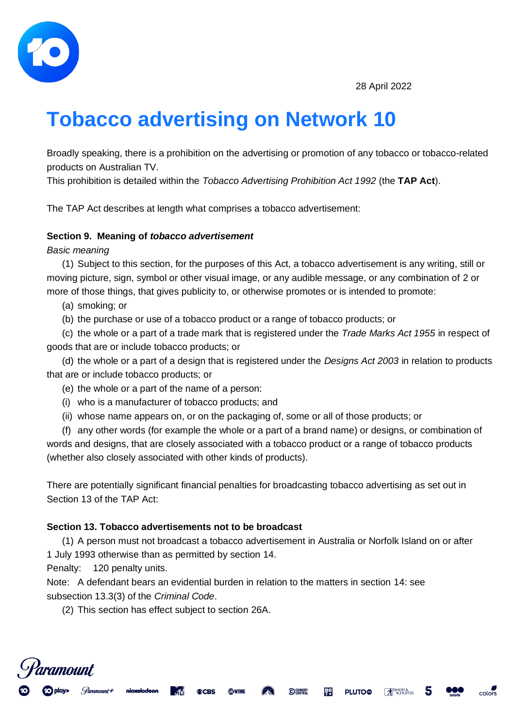

# **Tobacco advertising on Network 10**

Broadly speaking, there is a prohibition on the advertising or promotion of any tobacco or tobacco-related products on Australian TV.

This prohibition is detailed within the *Tobacco Advertising Prohibition Act 1992* (the **TAP Act**).

The TAP Act describes at length what comprises a tobacco advertisement:

#### **Section 9. Meaning of** *tobacco advertisement*

*Basic meaning*

(1) Subject to this section, for the purposes of this Act, a tobacco advertisement is any writing, still or moving picture, sign, symbol or other visual image, or any audible message, or any combination of 2 or more of those things, that gives publicity to, or otherwise promotes or is intended to promote:

(a) smoking; or

(b) the purchase or use of a tobacco product or a range of tobacco products; or

(c) the whole or a part of a trade mark that is registered under the *Trade Marks Act 1955* in respect of goods that are or include tobacco products; or

(d) the whole or a part of a design that is registered under the *Designs Act 2003* in relation to products that are or include tobacco products; or

- (e) the whole or a part of the name of a person:
- (i) who is a manufacturer of tobacco products; and
- (ii) whose name appears on, or on the packaging of, some or all of those products; or

(f) any other words (for example the whole or a part of a brand name) or designs, or combination of words and designs, that are closely associated with a tobacco product or a range of tobacco products (whether also closely associated with other kinds of products).

There are potentially significant financial penalties for broadcasting tobacco advertising as set out in Section 13 of the TAP Act:

### **Section 13. Tobacco advertisements not to be broadcast**

(1) A person must not broadcast a tobacco advertisement in Australia or Norfolk Island on or after 1 July 1993 otherwise than as permitted by section 14.

**O COMEDY** 

厚厚

**PLUTO®** 

SIMON &

color

Penalty: 120 penalty units.

<sup>d</sup>aramount

Note: A defendant bears an evidential burden in relation to the matters in section 14: see subsection 13.3(3) of the *Criminal Code*.

**STOWTIME** 

**©CBS** 

(2) This section has effect subject to section 26A.

nickelodeor